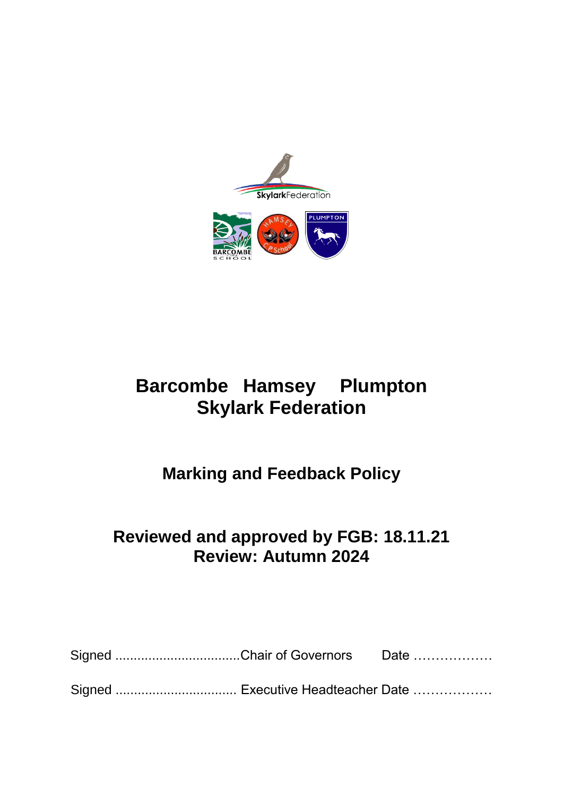

# **Barcombe Hamsey Plumpton Skylark Federation**

## **Marking and Feedback Policy**

## **Reviewed and approved by FGB: 18.11.21 Review: Autumn 2024**

| Signed Chair of Governors Date |  |
|--------------------------------|--|
|                                |  |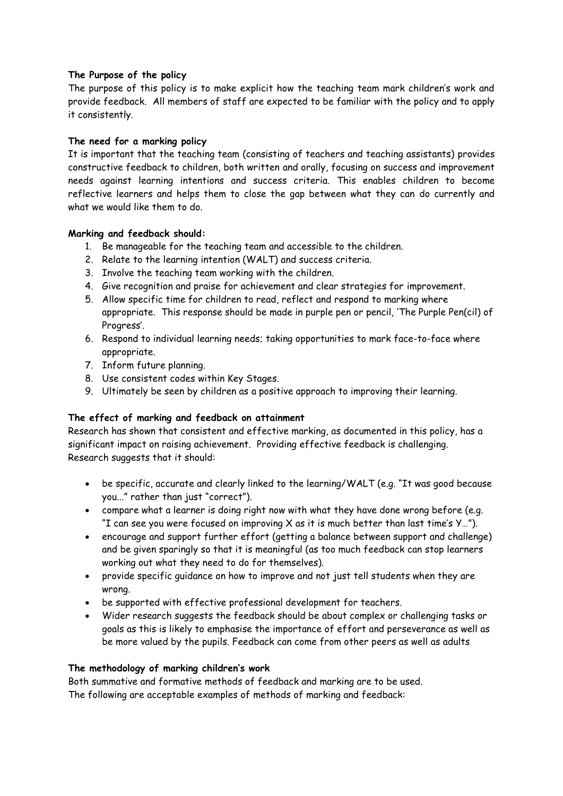## **The Purpose of the policy**

The purpose of this policy is to make explicit how the teaching team mark children's work and provide feedback. All members of staff are expected to be familiar with the policy and to apply it consistently.

## **The need for a marking policy**

It is important that the teaching team (consisting of teachers and teaching assistants) provides constructive feedback to children, both written and orally, focusing on success and improvement needs against learning intentions and success criteria. This enables children to become reflective learners and helps them to close the gap between what they can do currently and what we would like them to do.

## **Marking and feedback should:**

- 1. Be manageable for the teaching team and accessible to the children.
- 2. Relate to the learning intention (WALT) and success criteria.
- 3. Involve the teaching team working with the children.
- 4. Give recognition and praise for achievement and clear strategies for improvement.
- 5. Allow specific time for children to read, reflect and respond to marking where appropriate. This response should be made in purple pen or pencil, 'The Purple Pen(cil) of Progress'.
- 6. Respond to individual learning needs; taking opportunities to mark face-to-face where appropriate.
- 7. Inform future planning.
- 8. Use consistent codes within Key Stages.
- 9. Ultimately be seen by children as a positive approach to improving their learning.

## **The effect of marking and feedback on attainment**

Research has shown that consistent and effective marking, as documented in this policy, has a significant impact on raising achievement. Providing effective feedback is challenging. Research suggests that it should:

- be specific, accurate and clearly linked to the learning/WALT (e.g. "It was good because you..." rather than just "correct").
- compare what a learner is doing right now with what they have done wrong before (e.g. "I can see you were focused on improving  $X$  as it is much better than last time's  $Y...$ ").
- encourage and support further effort (getting a balance between support and challenge) and be given sparingly so that it is meaningful (as too much feedback can stop learners working out what they need to do for themselves).
- provide specific guidance on how to improve and not just tell students when they are wrong.
- be supported with effective professional development for teachers.
- Wider research suggests the feedback should be about complex or challenging tasks or goals as this is likely to emphasise the importance of effort and perseverance as well as be more valued by the pupils. Feedback can come from other peers as well as adults

## **The methodology of marking children's work**

Both summative and formative methods of feedback and marking are to be used. The following are acceptable examples of methods of marking and feedback: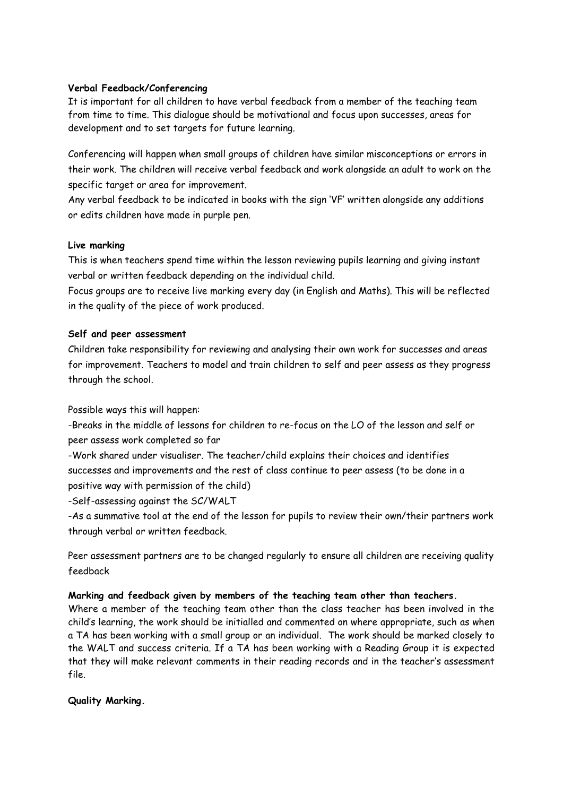## **Verbal Feedback/Conferencing**

It is important for all children to have verbal feedback from a member of the teaching team from time to time. This dialogue should be motivational and focus upon successes, areas for development and to set targets for future learning.

Conferencing will happen when small groups of children have similar misconceptions or errors in their work. The children will receive verbal feedback and work alongside an adult to work on the specific target or area for improvement.

Any verbal feedback to be indicated in books with the sign 'VF' written alongside any additions or edits children have made in purple pen.

## **Live marking**

This is when teachers spend time within the lesson reviewing pupils learning and giving instant verbal or written feedback depending on the individual child.

Focus groups are to receive live marking every day (in English and Maths). This will be reflected in the quality of the piece of work produced.

## **Self and peer assessment**

Children take responsibility for reviewing and analysing their own work for successes and areas for improvement. Teachers to model and train children to self and peer assess as they progress through the school.

Possible ways this will happen:

-Breaks in the middle of lessons for children to re-focus on the LO of the lesson and self or peer assess work completed so far

-Work shared under visualiser. The teacher/child explains their choices and identifies successes and improvements and the rest of class continue to peer assess (to be done in a positive way with permission of the child)

-Self-assessing against the SC/WALT

-As a summative tool at the end of the lesson for pupils to review their own/their partners work through verbal or written feedback.

Peer assessment partners are to be changed regularly to ensure all children are receiving quality feedback

## **Marking and feedback given by members of the teaching team other than teachers.**

Where a member of the teaching team other than the class teacher has been involved in the child's learning, the work should be initialled and commented on where appropriate, such as when a TA has been working with a small group or an individual. The work should be marked closely to the WALT and success criteria. If a TA has been working with a Reading Group it is expected that they will make relevant comments in their reading records and in the teacher's assessment file.

## **Quality Marking.**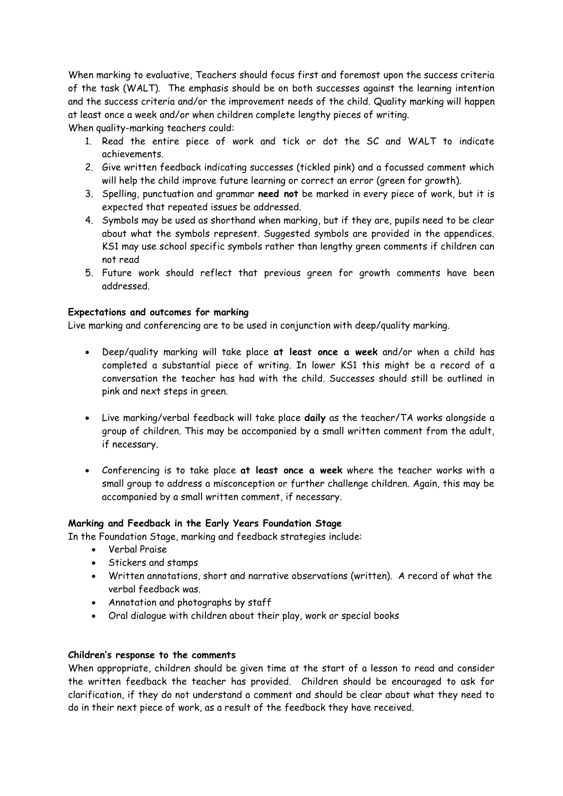When marking to evaluative, Teachers should focus first and foremost upon the success criteria of the task (WALT). The emphasis should be on both successes against the learning intention and the success criteria and/or the improvement needs of the child. Quality marking will happen at least once a week and/or when children complete lengthy pieces of writing.

When quality-marking teachers could:

- 1. Read the entire piece of work and tick or dot the SC and WALT to indicate achievements.
- 2. Give written feedback indicating successes (tickled pink) and a focussed comment which will help the child improve future learning or correct an error (green for growth).
- 3. Spelling, punctuation and grammar **need not** be marked in every piece of work, but it is expected that repeated issues be addressed.
- 4. Symbols may be used as shorthand when marking, but if they are, pupils need to be clear about what the symbols represent. Suggested symbols are provided in the appendices. KS1 may use school specific symbols rather than lengthy green comments if children can not read
- 5. Future work should reflect that previous green for growth comments have been addressed.

## **Expectations and outcomes for marking**

Live marking and conferencing are to be used in conjunction with deep/quality marking.

- Deep/quality marking will take place **at least once a week** and/or when a child has completed a substantial piece of writing. In lower KS1 this might be a record of a conversation the teacher has had with the child. Successes should still be outlined in pink and next steps in green.
- Live marking/verbal feedback will take place **daily** as the teacher/TA works alongside a group of children. This may be accompanied by a small written comment from the adult, if necessary.
- Conferencing is to take place **at least once a week** where the teacher works with a small group to address a misconception or further challenge children. Again, this may be accompanied by a small written comment, if necessary.

#### **Marking and Feedback in the Early Years Foundation Stage**

In the Foundation Stage, marking and feedback strategies include:

- Verbal Praise
- **Stickers and stamps**
- Written annotations, short and narrative observations (written). A record of what the verbal feedback was.
- Annotation and photographs by staff
- Oral dialogue with children about their play, work or special books

#### **Children's response to the comments**

When appropriate, children should be given time at the start of a lesson to read and consider the written feedback the teacher has provided. Children should be encouraged to ask for clarification, if they do not understand a comment and should be clear about what they need to do in their next piece of work, as a result of the feedback they have received.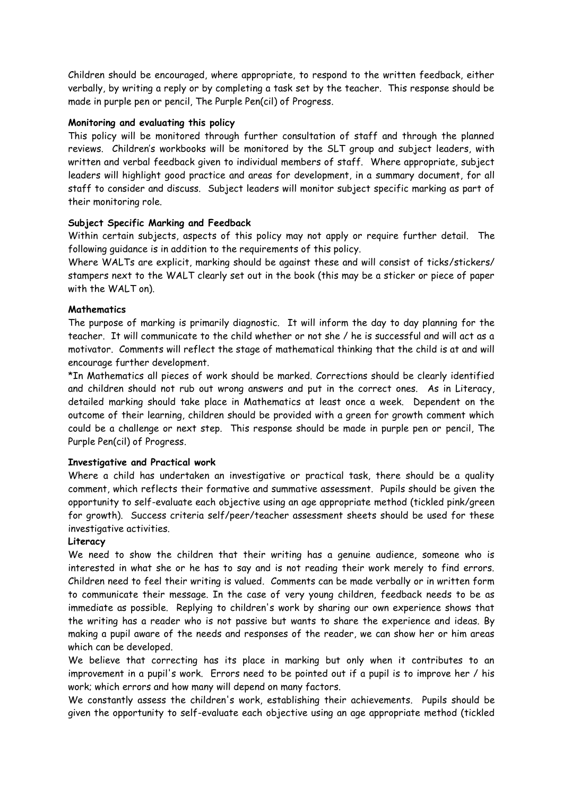Children should be encouraged, where appropriate, to respond to the written feedback, either verbally, by writing a reply or by completing a task set by the teacher. This response should be made in purple pen or pencil, The Purple Pen(cil) of Progress.

## **Monitoring and evaluating this policy**

This policy will be monitored through further consultation of staff and through the planned reviews. Children's workbooks will be monitored by the SLT group and subject leaders, with written and verbal feedback given to individual members of staff. Where appropriate, subject leaders will highlight good practice and areas for development, in a summary document, for all staff to consider and discuss. Subject leaders will monitor subject specific marking as part of their monitoring role.

## **Subject Specific Marking and Feedback**

Within certain subjects, aspects of this policy may not apply or require further detail. The following guidance is in addition to the requirements of this policy.

Where WALTs are explicit, marking should be against these and will consist of ticks/stickers/ stampers next to the WALT clearly set out in the book (this may be a sticker or piece of paper with the WALT on).

## **Mathematics**

The purpose of marking is primarily diagnostic. It will inform the day to day planning for the teacher. It will communicate to the child whether or not she / he is successful and will act as a motivator. Comments will reflect the stage of mathematical thinking that the child is at and will encourage further development.

\*In Mathematics all pieces of work should be marked. Corrections should be clearly identified and children should not rub out wrong answers and put in the correct ones. As in Literacy, detailed marking should take place in Mathematics at least once a week. Dependent on the outcome of their learning, children should be provided with a green for growth comment which could be a challenge or next step. This response should be made in purple pen or pencil, The Purple Pen(cil) of Progress.

### **Investigative and Practical work**

Where a child has undertaken an investigative or practical task, there should be a quality comment, which reflects their formative and summative assessment. Pupils should be given the opportunity to self-evaluate each objective using an age appropriate method (tickled pink/green for growth). Success criteria self/peer/teacher assessment sheets should be used for these investigative activities.

#### **Literacy**

We need to show the children that their writing has a genuine audience, someone who is interested in what she or he has to say and is not reading their work merely to find errors. Children need to feel their writing is valued. Comments can be made verbally or in written form to communicate their message. In the case of very young children, feedback needs to be as immediate as possible. Replying to children's work by sharing our own experience shows that the writing has a reader who is not passive but wants to share the experience and ideas. By making a pupil aware of the needs and responses of the reader, we can show her or him areas which can be developed.

We believe that correcting has its place in marking but only when it contributes to an improvement in a pupil's work. Errors need to be pointed out if a pupil is to improve her / his work; which errors and how many will depend on many factors.

We constantly assess the children's work, establishing their achievements. Pupils should be given the opportunity to self-evaluate each objective using an age appropriate method (tickled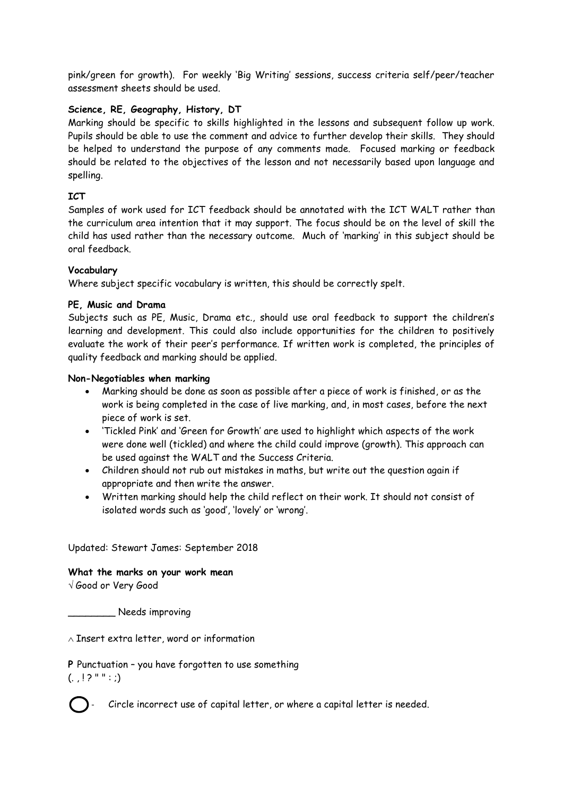pink/green for growth). For weekly 'Big Writing' sessions, success criteria self/peer/teacher assessment sheets should be used.

## **Science, RE, Geography, History, DT**

Marking should be specific to skills highlighted in the lessons and subsequent follow up work. Pupils should be able to use the comment and advice to further develop their skills. They should be helped to understand the purpose of any comments made. Focused marking or feedback should be related to the objectives of the lesson and not necessarily based upon language and spelling.

## **ICT**

Samples of work used for ICT feedback should be annotated with the ICT WALT rather than the curriculum area intention that it may support. The focus should be on the level of skill the child has used rather than the necessary outcome. Much of 'marking' in this subject should be oral feedback.

## **Vocabulary**

Where subject specific vocabulary is written, this should be correctly spelt.

## **PE, Music and Drama**

Subjects such as PE, Music, Drama etc., should use oral feedback to support the children's learning and development. This could also include opportunities for the children to positively evaluate the work of their peer's performance. If written work is completed, the principles of quality feedback and marking should be applied.

## **Non-Negotiables when marking**

- Marking should be done as soon as possible after a piece of work is finished, or as the work is being completed in the case of live marking, and, in most cases, before the next piece of work is set.
- 'Tickled Pink' and 'Green for Growth' are used to highlight which aspects of the work were done well (tickled) and where the child could improve (growth). This approach can be used against the WALT and the Success Criteria.
- Children should not rub out mistakes in maths, but write out the question again if appropriate and then write the answer.
- Written marking should help the child reflect on their work. It should not consist of isolated words such as 'good', 'lovely' or 'wrong'.

Updated: Stewart James: September 2018

#### **What the marks on your work mean**

Good or Very Good

\_\_\_\_\_\_\_\_ Needs improving

 $\wedge$  Insert extra letter, word or information

**P** Punctuation – you have forgotten to use something

 $(. \cdot | ? " " : )$ 



- Circle incorrect use of capital letter, or where a capital letter is needed.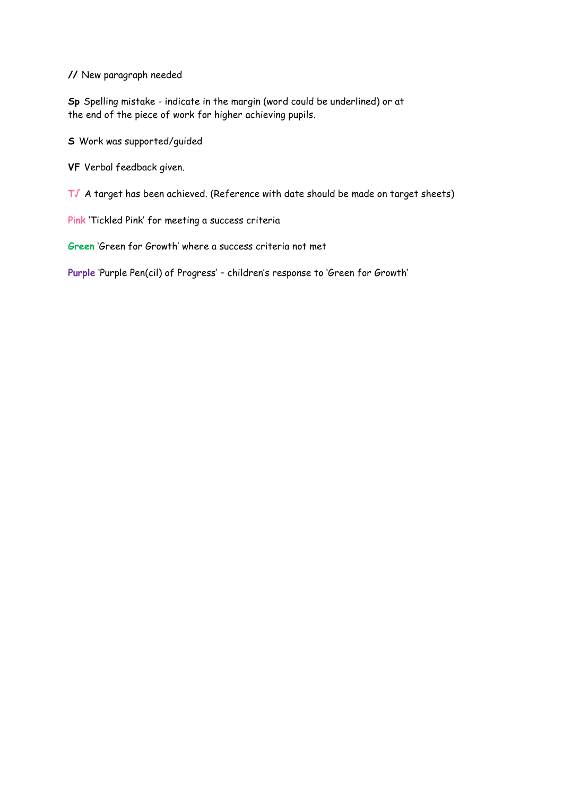**//** New paragraph needed

**Sp** Spelling mistake - indicate in the margin (word could be underlined) or at the end of the piece of work for higher achieving pupils.

**S** Work was supported/guided

**VF** Verbal feedback given.

**T√** A target has been achieved. (Reference with date should be made on target sheets)

**Pink** 'Tickled Pink' for meeting a success criteria

**Green** 'Green for Growth' where a success criteria not met

**Purple** 'Purple Pen(cil) of Progress' – children's response to 'Green for Growth'